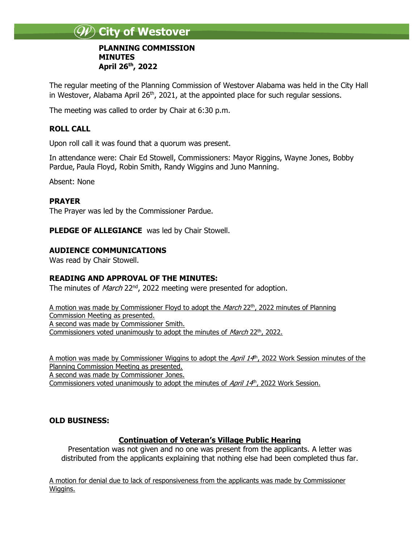# **City of Westover**

#### **PLANNING COMMISSION MINUTES April 26 th, 2022**

The regular meeting of the Planning Commission of Westover Alabama was held in the City Hall in Westover, Alabama April 26<sup>th</sup>, 2021, at the appointed place for such regular sessions.

The meeting was called to order by Chair at 6:30 p.m.

# **ROLL CALL**

Upon roll call it was found that a quorum was present.

In attendance were: Chair Ed Stowell, Commissioners: Mayor Riggins, Wayne Jones, Bobby Pardue, Paula Floyd, Robin Smith, Randy Wiggins and Juno Manning.

Absent: None

#### **PRAYER**

The Prayer was led by the Commissioner Pardue.

**PLEDGE OF ALLEGIANCE** was led by Chair Stowell.

# **AUDIENCE COMMUNICATIONS**

Was read by Chair Stowell.

# **READING AND APPROVAL OF THE MINUTES:**

The minutes of *March* 22<sup>nd</sup>, 2022 meeting were presented for adoption.

A motion was made by Commissioner Floyd to adopt the *March* 22<sup>th</sup>, 2022 minutes of Planning Commission Meeting as presented. A second was made by Commissioner Smith. Commissioners voted unanimously to adopt the minutes of March 22<sup>th</sup>, 2022.

A motion was made by Commissioner Wiggins to adopt the April 14<sup>th</sup>, 2022 Work Session minutes of the Planning Commission Meeting as presented. A second was made by Commissioner Jones. Commissioners voted unanimously to adopt the minutes of April 14<sup>h</sup>, 2022 Work Session.

# **OLD BUSINESS:**

# **Continuation of Veteran's Village Public Hearing**

Presentation was not given and no one was present from the applicants. A letter was distributed from the applicants explaining that nothing else had been completed thus far.

A motion for denial due to lack of responsiveness from the applicants was made by Commissioner Wiggins.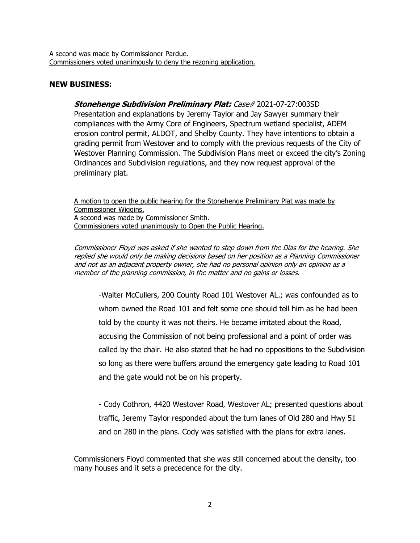A second was made by Commissioner Pardue. Commissioners voted unanimously to deny the rezoning application.

#### **NEW BUSINESS:**

**Stonehenge Subdivision Preliminary Plat:** Case# 2021-07-27:003SD Presentation and explanations by Jeremy Taylor and Jay Sawyer summary their compliances with the Army Core of Engineers, Spectrum wetland specialist, ADEM erosion control permit, ALDOT, and Shelby County. They have intentions to obtain a grading permit from Westover and to comply with the previous requests of the City of Westover Planning Commission. The Subdivision Plans meet or exceed the city's Zoning Ordinances and Subdivision regulations, and they now request approval of the preliminary plat.

A motion to open the public hearing for the Stonehenge Preliminary Plat was made by Commissioner Wiggins. A second was made by Commissioner Smith. Commissioners voted unanimously to Open the Public Hearing.

Commissioner Floyd was asked if she wanted to step down from the Dias for the hearing. She replied she would only be making decisions based on her position as a Planning Commissioner and not as an adjacent property owner, she had no personal opinion only an opinion as a member of the planning commission, in the matter and no gains or losses.

-Walter McCullers, 200 County Road 101 Westover AL.; was confounded as to whom owned the Road 101 and felt some one should tell him as he had been told by the county it was not theirs. He became irritated about the Road, accusing the Commission of not being professional and a point of order was called by the chair. He also stated that he had no oppositions to the Subdivision so long as there were buffers around the emergency gate leading to Road 101 and the gate would not be on his property.

- Cody Cothron, 4420 Westover Road, Westover AL; presented questions about traffic, Jeremy Taylor responded about the turn lanes of Old 280 and Hwy 51 and on 280 in the plans. Cody was satisfied with the plans for extra lanes.

Commissioners Floyd commented that she was still concerned about the density, too many houses and it sets a precedence for the city.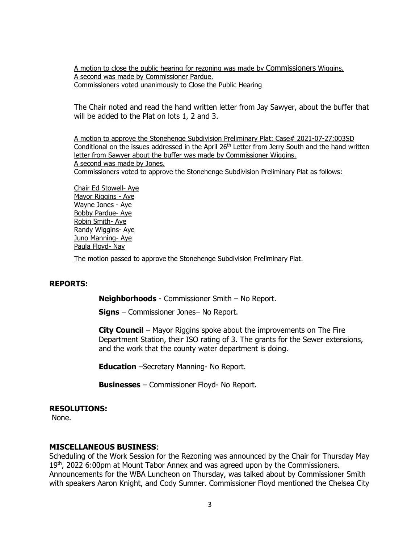A motion to close the public hearing for rezoning was made by Commissioners Wiggins. A second was made by Commissioner Pardue. Commissioners voted unanimously to Close the Public Hearing

The Chair noted and read the hand written letter from Jay Sawyer, about the buffer that will be added to the Plat on lots 1, 2 and 3.

A motion to approve the Stonehenge Subdivision Preliminary Plat: Case# 2021-07-27:003SD Conditional on the issues addressed in the April 26<sup>th</sup> Letter from Jerry South and the hand written letter from Sawyer about the buffer was made by Commissioner Wiggins. A second was made by Jones. Commissioners voted to approve the Stonehenge Subdivision Preliminary Plat as follows:

Chair Ed Stowell- Aye Mayor Riggins - Aye Wayne Jones - Aye Bobby Pardue- Aye Robin Smith- Aye Randy Wiggins- Aye Juno Manning- Aye Paula Floyd- Nay

#### The motion passed to approve the Stonehenge Subdivision Preliminary Plat.

#### **REPORTS:**

**Neighborhoods** - Commissioner Smith – No Report.

**Signs** – Commissioner Jones– No Report.

**City Council** – Mayor Riggins spoke about the improvements on The Fire Department Station, their ISO rating of 3. The grants for the Sewer extensions, and the work that the county water department is doing.

**Education** –Secretary Manning- No Report.

**Businesses** – Commissioner Floyd- No Report.

#### **RESOLUTIONS:**

None.

#### **MISCELLANEOUS BUSINESS**:

Scheduling of the Work Session for the Rezoning was announced by the Chair for Thursday May 19<sup>th</sup>, 2022 6:00pm at Mount Tabor Annex and was agreed upon by the Commissioners. Announcements for the WBA Luncheon on Thursday, was talked about by Commissioner Smith with speakers Aaron Knight, and Cody Sumner. Commissioner Floyd mentioned the Chelsea City